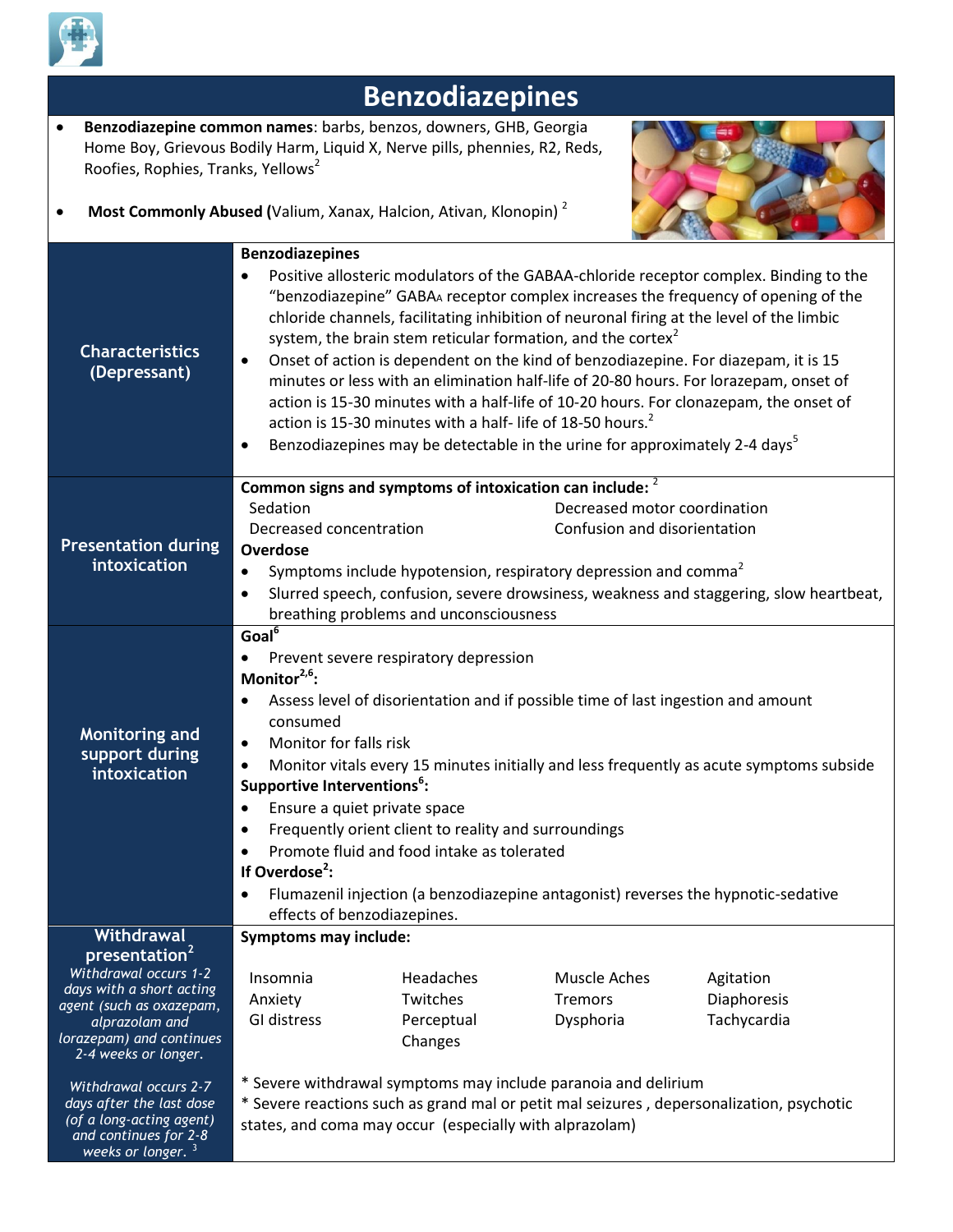

*weeks or longer.* <sup>3</sup>

## **Benzodiazepines Benzodiazepine common names**: barbs, benzos, downers, GHB, Georgia Home Boy, Grievous Bodily Harm, Liquid X, Nerve pills, phennies, R2, Reds, Roofies, Rophies, Tranks, Yellows<sup>2</sup> **Most Commonly Abused (**Valium, Xanax, Halcion, Ativan, Klonopin)<sup>2</sup> **Characteristics (Depressant) Benzodiazepines** Positive allosteric modulators of the GABAA-chloride receptor complex. Binding to the "benzodiazepine" GABA<sup>A</sup> receptor complex increases the frequency of opening of the chloride channels, facilitating inhibition of neuronal firing at the level of the limbic system, the brain stem reticular formation, and the cortex<sup>2</sup> Onset of action is dependent on the kind of benzodiazepine. For diazepam, it is 15 minutes or less with an elimination half-life of 20-80 hours. For lorazepam, onset of action is 15-30 minutes with a half-life of 10-20 hours. For clonazepam, the onset of action is 15-30 minutes with a half- life of 18-50 hours.<sup>2</sup> **Benzodiazepines may be detectable in the urine for approximately 2-4 days**<sup>5</sup> **Presentation during intoxication Common signs and symptoms of intoxication can include:** 2 Sedation Decreased motor coordination Decreased concentration Confusion and disorientation **Overdose** Symptoms include hypotension, respiratory depression and comma<sup>2</sup> Slurred speech, confusion, severe drowsiness, weakness and staggering, slow heartbeat, breathing problems and unconsciousness **Monitoring and support during intoxication Goal<sup>6</sup>** • Prevent severe respiratory depression **Monitor2,6:** Assess level of disorientation and if possible time of last ingestion and amount consumed Monitor for falls risk Monitor vitals every 15 minutes initially and less frequently as acute symptoms subside **Supportive Interventions<sup>6</sup> :** • Ensure a quiet private space **•** Frequently orient client to reality and surroundings Promote fluid and food intake as tolerated **If Overdose<sup>2</sup> :** Flumazenil injection (a benzodiazepine antagonist) reverses the hypnotic-sedative effects of benzodiazepines. **Withdrawal presentation<sup>2</sup>** *Withdrawal occurs 1-2 days with a short acting agent (such as oxazepam, alprazolam and lorazepam) and continues 2-4 weeks or longer. Withdrawal occurs 2-7 days after the last dose (of a long-acting agent) and continues for 2-8*  **Symptoms may include:** Insomnia Headaches Muscle Aches Agitation Anxiety Twitches Tremors Diaphoresis GI distress Perceptual Changes Dysphoria Tachycardia \* Severe withdrawal symptoms may include paranoia and delirium \* Severe reactions such as grand mal or petit mal seizures , depersonalization, psychotic states, and coma may occur (especially with alprazolam)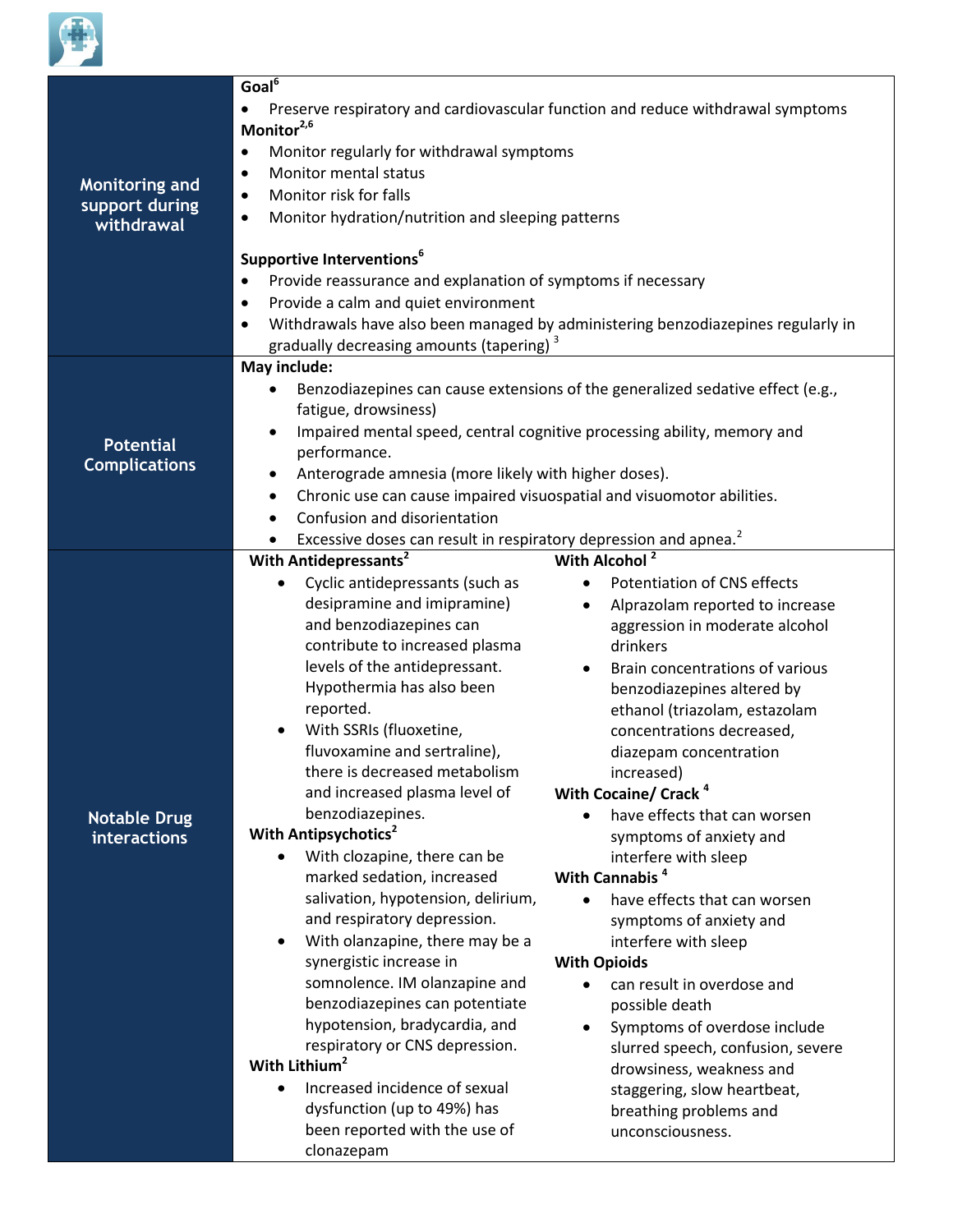

| <b>Monitoring and</b><br>support during<br>withdrawal | Goal $\overline{6}$<br>Preserve respiratory and cardiovascular function and reduce withdrawal symptoms<br>Monitor <sup>2,6</sup><br>Monitor regularly for withdrawal symptoms<br>٠<br>Monitor mental status<br>٠<br>Monitor risk for falls<br>$\bullet$<br>Monitor hydration/nutrition and sleeping patterns<br>٠<br>Supportive Interventions <sup>6</sup><br>Provide reassurance and explanation of symptoms if necessary<br>Provide a calm and quiet environment<br>٠<br>Withdrawals have also been managed by administering benzodiazepines regularly in<br>$\bullet$<br>gradually decreasing amounts (tapering) <sup>3</sup>                                                                                                                                                                                                                                                                                                                                                                                                                                                                                                                                                                                                                                                                                                                                                                                                                                                                                                                                                                                                                                                                                                                                                                                                                  |
|-------------------------------------------------------|---------------------------------------------------------------------------------------------------------------------------------------------------------------------------------------------------------------------------------------------------------------------------------------------------------------------------------------------------------------------------------------------------------------------------------------------------------------------------------------------------------------------------------------------------------------------------------------------------------------------------------------------------------------------------------------------------------------------------------------------------------------------------------------------------------------------------------------------------------------------------------------------------------------------------------------------------------------------------------------------------------------------------------------------------------------------------------------------------------------------------------------------------------------------------------------------------------------------------------------------------------------------------------------------------------------------------------------------------------------------------------------------------------------------------------------------------------------------------------------------------------------------------------------------------------------------------------------------------------------------------------------------------------------------------------------------------------------------------------------------------------------------------------------------------------------------------------------------------|
| <b>Potential</b><br><b>Complications</b>              | May include:<br>Benzodiazepines can cause extensions of the generalized sedative effect (e.g.,<br>fatigue, drowsiness)<br>Impaired mental speed, central cognitive processing ability, memory and<br>$\bullet$<br>performance.<br>Anterograde amnesia (more likely with higher doses).<br>Chronic use can cause impaired visuospatial and visuomotor abilities.<br>٠<br>Confusion and disorientation<br>$\bullet$<br>Excessive doses can result in respiratory depression and apnea. <sup>2</sup>                                                                                                                                                                                                                                                                                                                                                                                                                                                                                                                                                                                                                                                                                                                                                                                                                                                                                                                                                                                                                                                                                                                                                                                                                                                                                                                                                 |
| <b>Notable Drug</b><br>interactions                   | With Alcohol <sup>2</sup><br>With Antidepressants <sup>2</sup><br>Cyclic antidepressants (such as<br>Potentiation of CNS effects<br>$\bullet$<br>$\bullet$<br>desipramine and imipramine)<br>Alprazolam reported to increase<br>$\bullet$<br>and benzodiazepines can<br>aggression in moderate alcohol<br>contribute to increased plasma<br>drinkers<br>levels of the antidepressant.<br>Brain concentrations of various<br>$\bullet$<br>Hypothermia has also been<br>benzodiazepines altered by<br>reported.<br>ethanol (triazolam, estazolam<br>With SSRIs (fluoxetine,<br>concentrations decreased,<br>٠<br>fluvoxamine and sertraline),<br>diazepam concentration<br>there is decreased metabolism<br>increased)<br>With Cocaine/ Crack <sup>4</sup><br>and increased plasma level of<br>benzodiazepines.<br>have effects that can worsen<br>With Antipsychotics <sup>2</sup><br>symptoms of anxiety and<br>With clozapine, there can be<br>interfere with sleep<br>$\bullet$<br>With Cannabis <sup>4</sup><br>marked sedation, increased<br>salivation, hypotension, delirium,<br>have effects that can worsen<br>$\bullet$<br>and respiratory depression.<br>symptoms of anxiety and<br>With olanzapine, there may be a<br>interfere with sleep<br>$\bullet$<br>synergistic increase in<br><b>With Opioids</b><br>somnolence. IM olanzapine and<br>can result in overdose and<br>benzodiazepines can potentiate<br>possible death<br>hypotension, bradycardia, and<br>Symptoms of overdose include<br>respiratory or CNS depression.<br>slurred speech, confusion, severe<br>With Lithium <sup>2</sup><br>drowsiness, weakness and<br>Increased incidence of sexual<br>$\bullet$<br>staggering, slow heartbeat,<br>dysfunction (up to 49%) has<br>breathing problems and<br>been reported with the use of<br>unconsciousness.<br>clonazepam |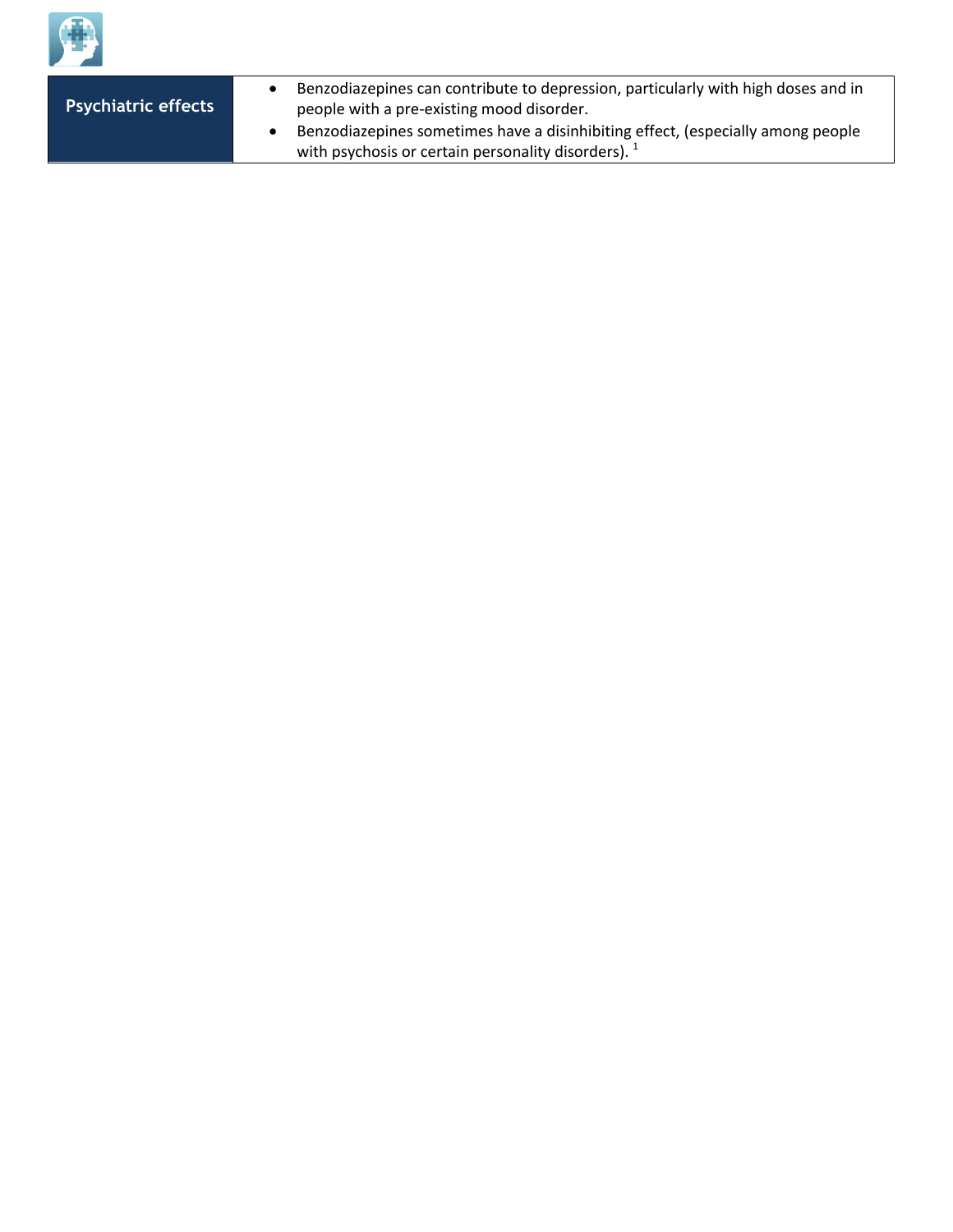

**Psychiatric effects**

- Benzodiazepines can contribute to depression, particularly with high doses and in people with a pre-existing mood disorder.
- Benzodiazepines sometimes have a disinhibiting effect, (especially among people with psychosis or certain personality disorders).<sup>1</sup>